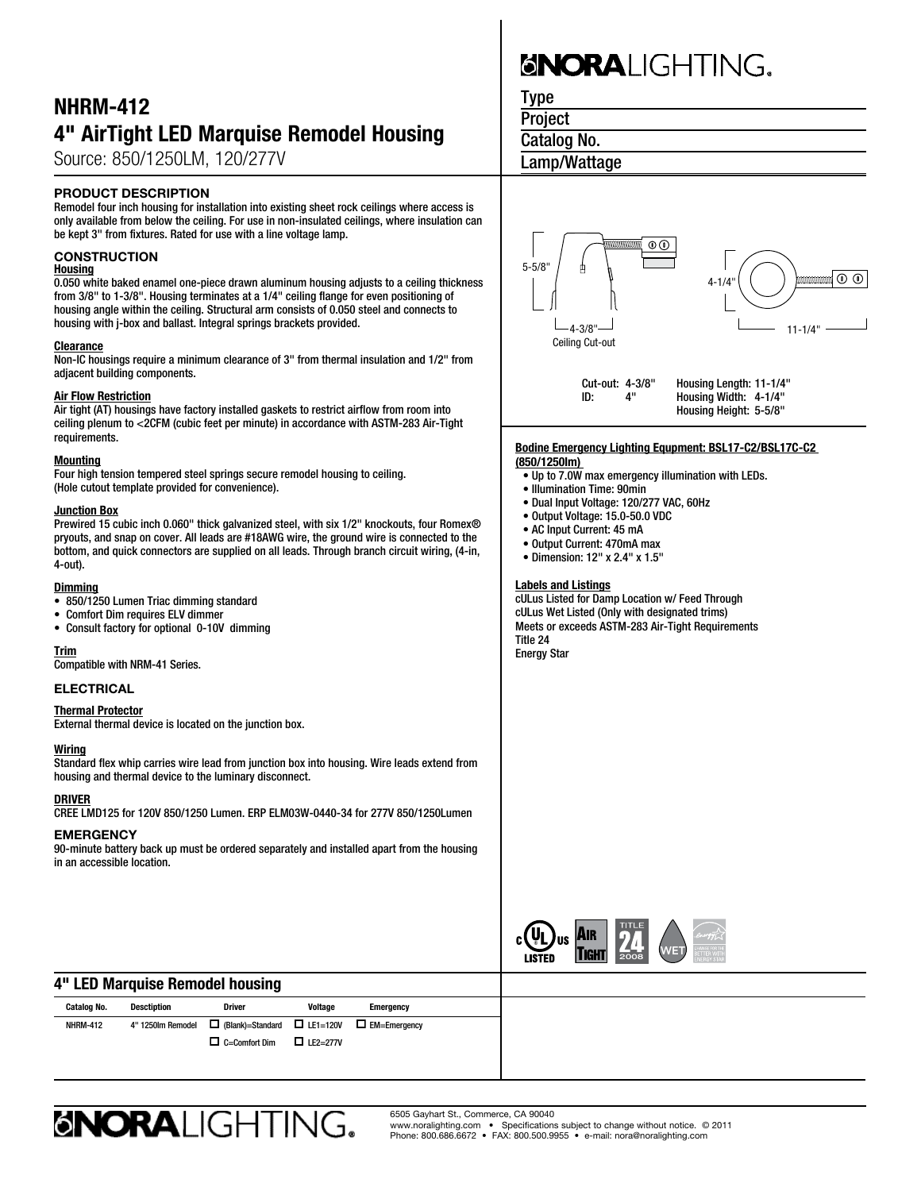## NHRM-412 4" AirTight LED Marquise Remodel Housing

Source: 850/1250LM, 120/277V

### PRODUCT DESCRIPTION

Remodel four inch housing for installation into existing sheet rock ceilings where access is only available from below the ceiling. For use in non-insulated ceilings, where insulation can be kept 3" from fixtures. Rated for use with a line voltage lamp.

### **CONSTRUCTION**

#### **Housing**

0.050 white baked enamel one-piece drawn aluminum housing adjusts to a ceiling thickness from 3/8" to 1-3/8". Housing terminates at a 1/4" ceiling flange for even positioning of housing angle within the ceiling. Structural arm consists of 0.050 steel and connects to housing with j-box and ballast. Integral springs brackets provided.

#### **Clearance**

Non-IC housings require a minimum clearance of 3" from thermal insulation and 1/2" from adjacent building components.

#### Air Flow Restriction

Air tight (AT) housings have factory installed gaskets to restrict airflow from room into ceiling plenum to <2CFM (cubic feet per minute) in accordance with ASTM-283 Air-Tight requirements.

#### **Mounting**

Four high tension tempered steel springs secure remodel housing to ceiling. (Hole cutout template provided for convenience).

#### **Junction Box**

Prewired 15 cubic inch 0.060" thick galvanized steel, with six 1/2" knockouts, four Romex<sup>®</sup> pryouts, and snap on cover. All leads are #18AWG wire, the ground wire is connected to the bottom, and quick connectors are supplied on all leads. Through branch circuit wiring, (4-in, 4-out).

#### **Dimming**

- • 850/1250 Lumen Triac dimming standard
- • Comfort Dim requires ELV dimmer
- • Consult factory for optional 0-10V dimming

#### Trim

Compatible with NRM-41 Series.

#### ELECTRICAL

#### Thermal Protector

External thermal device is located on the junction box.

#### **Wiring**

Standard flex whip carries wire lead from junction box into housing. Wire leads extend from housing and thermal device to the luminary disconnect.

#### DRIVER

CREE LMD125 for 120V 850/1250 Lumen. ERP ELM03W-0440-34 for 277V 850/1250Lumen

#### **EMERGENCY**

90-minute battery back up must be ordered separately and installed apart from the housing in an accessible location.

# **GNORALIGHTING.**

Type

**Project** 

Catalog No.

Lamp/Wattage



ID: 4" Housing Width: 4-1/4" Housing Height: 5-5/8"

#### **Bodine Emergency Lighting Equpment: BSL17-C2/BSL17C-C2 (850/1250lm)**

- Up to 7.0W max emergency illumination with LEDs.
- Illumination Time: 90min
- Dual Input Voltage: 120/277 VAC, 60Hz
- Output Voltage: 15.0-50.0 VDC
- AC Input Current: 45 mA
- Output Current: 470mA max
- Dimension: 12" x 2.4" x 1.5"

#### Labels and Listings

cULus Listed for Damp Location w/ Feed Through cULus Wet Listed (Only with designated trims) Meets or exceeds ASTM-283 Air-Tight Requirements Title 24 Energy Star



## 4" LED Marquise Remodel housing

| Catalog No.     | <b>Desctiption</b> | <b>Driver</b>                                                   | <b>Voltage</b>  | <b>Emergency</b>    |  |
|-----------------|--------------------|-----------------------------------------------------------------|-----------------|---------------------|--|
| <b>NHRM-412</b> | 4" 1250lm Remodel  | $\Box$ (Blank)=Standard $\Box$ LE1=120V<br>$\Box$ C=Comfort Dim | $\Box$ LE2=277V | $\Box$ EM=Emergency |  |
|                 |                    |                                                                 |                 |                     |  |